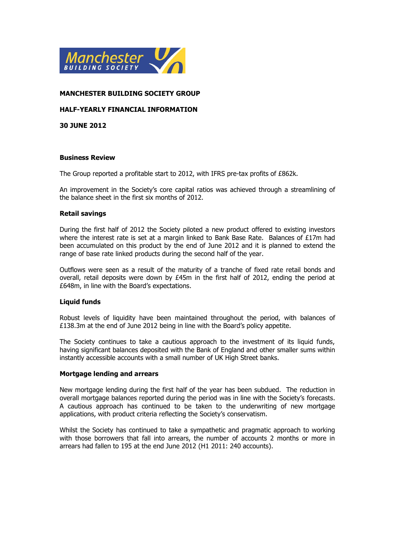

## **MANCHESTER BUILDING SOCIETY GROUP**

## **HALF-YEARLY FINANCIAL INFORMATION**

**30 JUNE 2012**

#### **Business Review**

The Group reported a profitable start to 2012, with IFRS pre-tax profits of £862k.

An improvement in the Society's core capital ratios was achieved through a streamlining of the balance sheet in the first six months of 2012.

### **Retail savings**

During the first half of 2012 the Society piloted a new product offered to existing investors where the interest rate is set at a margin linked to Bank Base Rate. Balances of £17m had been accumulated on this product by the end of June 2012 and it is planned to extend the range of base rate linked products during the second half of the year.

Outflows were seen as a result of the maturity of a tranche of fixed rate retail bonds and overall, retail deposits were down by £45m in the first half of 2012, ending the period at £648m, in line with the Board's expectations.

## **Liquid funds**

Robust levels of liquidity have been maintained throughout the period, with balances of £138.3m at the end of June 2012 being in line with the Board's policy appetite.

The Society continues to take a cautious approach to the investment of its liquid funds, having significant balances deposited with the Bank of England and other smaller sums within instantly accessible accounts with a small number of UK High Street banks.

#### **Mortgage lending and arrears**

New mortgage lending during the first half of the year has been subdued. The reduction in overall mortgage balances reported during the period was in line with the Society's forecasts. A cautious approach has continued to be taken to the underwriting of new mortgage applications, with product criteria reflecting the Society's conservatism.

Whilst the Society has continued to take a sympathetic and pragmatic approach to working with those borrowers that fall into arrears, the number of accounts 2 months or more in arrears had fallen to 195 at the end June 2012 (H1 2011: 240 accounts).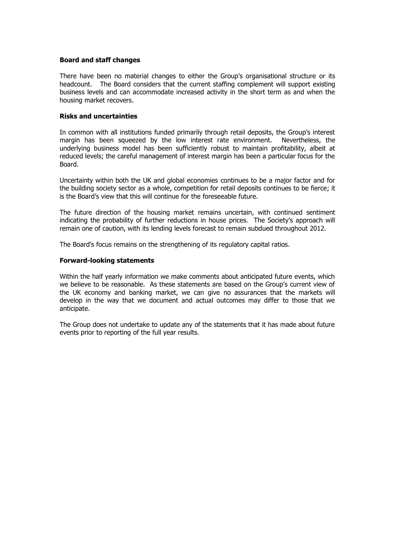#### **Board and staff changes**

There have been no material changes to either the Group's organisational structure or its headcount. The Board considers that the current staffing complement will support existing business levels and can accommodate increased activity in the short term as and when the housing market recovers.

### **Risks and uncertainties**

In common with all institutions funded primarily through retail deposits, the Group's interest margin has been squeezed by the low interest rate environment. Nevertheless, the underlying business model has been sufficiently robust to maintain profitability, albeit at reduced levels; the careful management of interest margin has been a particular focus for the Board.

Uncertainty within both the UK and global economies continues to be a major factor and for the building society sector as a whole, competition for retail deposits continues to be fierce; it is the Board's view that this will continue for the foreseeable future.

The future direction of the housing market remains uncertain, with continued sentiment indicating the probability of further reductions in house prices. The Society's approach will remain one of caution, with its lending levels forecast to remain subdued throughout 2012.

The Board's focus remains on the strengthening of its regulatory capital ratios.

#### **Forward-looking statements**

Within the half yearly information we make comments about anticipated future events, which we believe to be reasonable. As these statements are based on the Group's current view of the UK economy and banking market, we can give no assurances that the markets will develop in the way that we document and actual outcomes may differ to those that we anticipate.

The Group does not undertake to update any of the statements that it has made about future events prior to reporting of the full year results.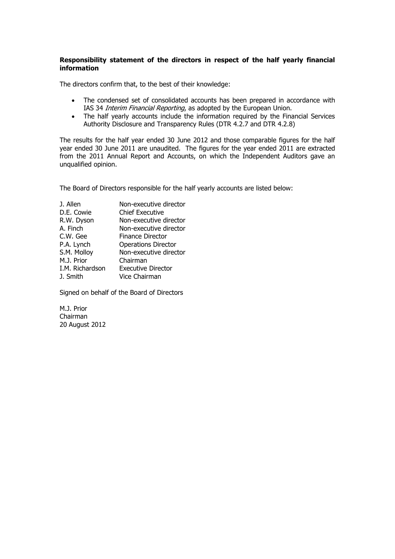## **Responsibility statement of the directors in respect of the half yearly financial information**

The directors confirm that, to the best of their knowledge:

- The condensed set of consolidated accounts has been prepared in accordance with IAS 34 *Interim Financial Reporting*, as adopted by the European Union.
- The half yearly accounts include the information required by the Financial Services Authority Disclosure and Transparency Rules (DTR 4.2.7 and DTR 4.2.8)

The results for the half year ended 30 June 2012 and those comparable figures for the half year ended 30 June 2011 are unaudited. The figures for the year ended 2011 are extracted from the 2011 Annual Report and Accounts, on which the Independent Auditors gave an unqualified opinion.

The Board of Directors responsible for the half yearly accounts are listed below:

| J. Allen        | Non-executive director     |
|-----------------|----------------------------|
| D.E. Cowie      | <b>Chief Executive</b>     |
| R.W. Dyson      | Non-executive director     |
| A. Finch        | Non-executive director     |
| C.W. Gee        | <b>Finance Director</b>    |
| P.A. Lynch      | <b>Operations Director</b> |
| S.M. Molloy     | Non-executive director     |
| M.J. Prior      | Chairman                   |
| I.M. Richardson | <b>Executive Director</b>  |
| J. Smith        | Vice Chairman              |
|                 |                            |

Signed on behalf of the Board of Directors

M.J. Prior Chairman 20 August 2012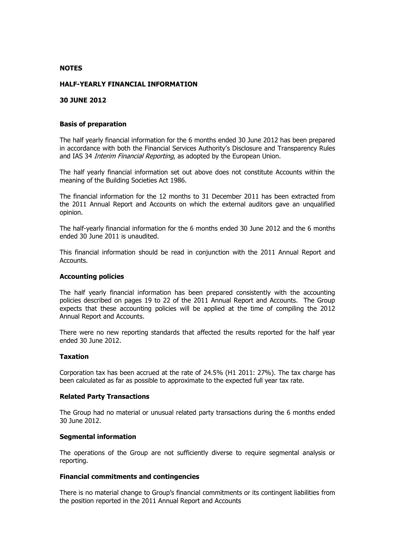#### **NOTES**

#### **HALF-YEARLY FINANCIAL INFORMATION**

#### **30 JUNE 2012**

#### **Basis of preparation**

The half yearly financial information for the 6 months ended 30 June 2012 has been prepared in accordance with both the Financial Services Authority's Disclosure and Transparency Rules and IAS 34 Interim Financial Reporting, as adopted by the European Union.

The half yearly financial information set out above does not constitute Accounts within the meaning of the Building Societies Act 1986.

The financial information for the 12 months to 31 December 2011 has been extracted from the 2011 Annual Report and Accounts on which the external auditors gave an unqualified opinion.

The half-yearly financial information for the 6 months ended 30 June 2012 and the 6 months ended 30 June 2011 is unaudited.

This financial information should be read in conjunction with the 2011 Annual Report and Accounts.

#### **Accounting policies**

The half yearly financial information has been prepared consistently with the accounting policies described on pages 19 to 22 of the 2011 Annual Report and Accounts. The Group expects that these accounting policies will be applied at the time of compiling the 2012 Annual Report and Accounts.

There were no new reporting standards that affected the results reported for the half year ended 30 June 2012.

#### **Taxation**

Corporation tax has been accrued at the rate of 24.5% (H1 2011: 27%). The tax charge has been calculated as far as possible to approximate to the expected full year tax rate.

#### **Related Party Transactions**

The Group had no material or unusual related party transactions during the 6 months ended 30 June 2012.

## **Segmental information**

The operations of the Group are not sufficiently diverse to require segmental analysis or reporting.

#### **Financial commitments and contingencies**

There is no material change to Group's financial commitments or its contingent liabilities from the position reported in the 2011 Annual Report and Accounts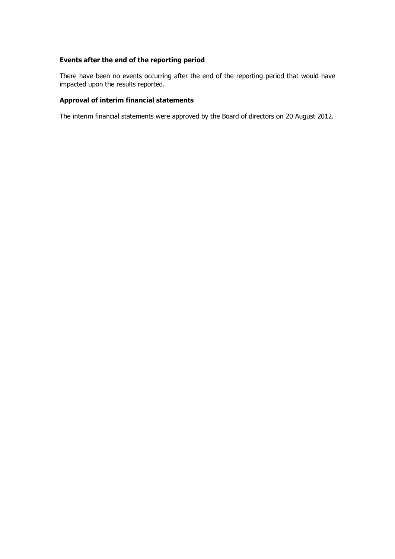# **Events after the end of the reporting period**

There have been no events occurring after the end of the reporting period that would have impacted upon the results reported.

# **Approval of interim financial statements**

The interim financial statements were approved by the Board of directors on 20 August 2012.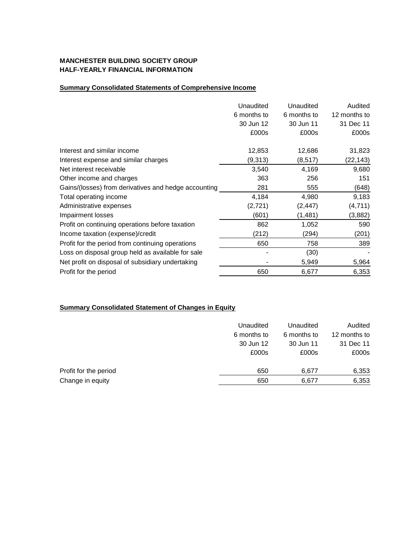# **MANCHESTER BUILDING SOCIETY GROUP HALF-YEARLY FINANCIAL INFORMATION**

# **Summary Consolidated Statements of Comprehensive Income**

|                                                      | Unaudited<br>6 months to | Unaudited<br>6 months to | Audited<br>12 months to |
|------------------------------------------------------|--------------------------|--------------------------|-------------------------|
|                                                      | 30 Jun 12                | 30 Jun 11                | 31 Dec 11               |
|                                                      | £000s                    | £000s                    | £000s                   |
| Interest and similar income                          | 12,853                   | 12,686                   | 31,823                  |
| Interest expense and similar charges                 | (9,313)                  | (8, 517)                 | (22, 143)               |
| Net interest receivable                              | 3,540                    | 4,169                    | 9,680                   |
| Other income and charges                             | 363                      | 256                      | 151                     |
| Gains/(losses) from derivatives and hedge accounting | 281                      | 555                      | (648)                   |
| Total operating income                               | 4,184                    | 4,980                    | 9,183                   |
| Administrative expenses                              | (2, 721)                 | (2, 447)                 | (4, 711)                |
| Impairment losses                                    | (601)                    | (1,481)                  | (3,882)                 |
| Profit on continuing operations before taxation      | 862                      | 1,052                    | 590                     |
| Income taxation (expense)/credit                     | (212)                    | (294)                    | (201)                   |
| Profit for the period from continuing operations     | 650                      | 758                      | 389                     |
| Loss on disposal group held as available for sale    |                          | (30)                     |                         |
| Net profit on disposal of subsidiary undertaking     |                          | 5,949                    | 5,964                   |
| Profit for the period                                | 650                      | 6,677                    | 6,353                   |

# **Summary Consolidated Statement of Changes in Equity**

|                       | Unaudited<br>6 months to<br>30 Jun 12 | Unaudited<br>6 months to<br>30 Jun 11 | Audited<br>12 months to<br>31 Dec 11 |
|-----------------------|---------------------------------------|---------------------------------------|--------------------------------------|
|                       | £000s                                 | £000s                                 | £000s                                |
| Profit for the period | 650                                   | 6,677                                 | 6,353                                |
| Change in equity      | 650                                   | 6,677                                 | 6,353                                |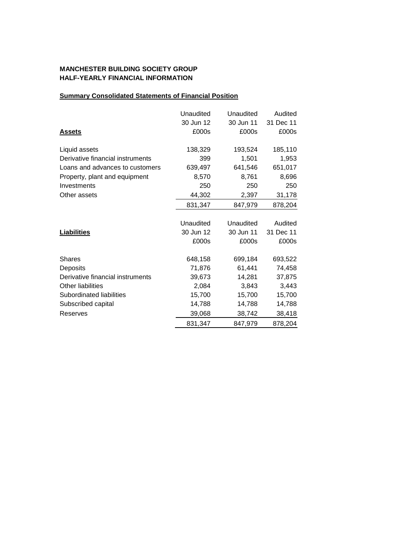# **MANCHESTER BUILDING SOCIETY GROUP HALF-YEARLY FINANCIAL INFORMATION**

# **Summary Consolidated Statements of Financial Position**

|                                  | Unaudited | Unaudited | Audited   |
|----------------------------------|-----------|-----------|-----------|
|                                  | 30 Jun 12 | 30 Jun 11 | 31 Dec 11 |
| <b>Assets</b>                    | £000s     | £000s     | £000s     |
| Liquid assets                    | 138,329   | 193,524   | 185,110   |
| Derivative financial instruments | 399       | 1,501     | 1,953     |
| Loans and advances to customers  | 639,497   | 641,546   | 651,017   |
| Property, plant and equipment    | 8,570     | 8,761     | 8,696     |
| Investments                      | 250       | 250       | 250       |
| Other assets                     | 44,302    | 2,397     | 31,178    |
|                                  | 831,347   | 847,979   | 878,204   |
|                                  |           |           |           |
|                                  | Unaudited | Unaudited | Audited   |
| <b>Liabilities</b>               | 30 Jun 12 | 30 Jun 11 | 31 Dec 11 |
|                                  | £000s     | £000s     | £000s     |
| <b>Shares</b>                    | 648,158   | 699,184   | 693,522   |
| Deposits                         | 71,876    | 61,441    | 74,458    |
| Derivative financial instruments | 39,673    | 14,281    | 37,875    |
| Other liabilities                | 2,084     | 3,843     | 3,443     |
| Subordinated liabilities         | 15,700    | 15,700    | 15,700    |
| Subscribed capital               | 14,788    | 14,788    | 14,788    |
| Reserves                         | 39,068    | 38,742    | 38,418    |
|                                  | 831,347   | 847,979   | 878,204   |